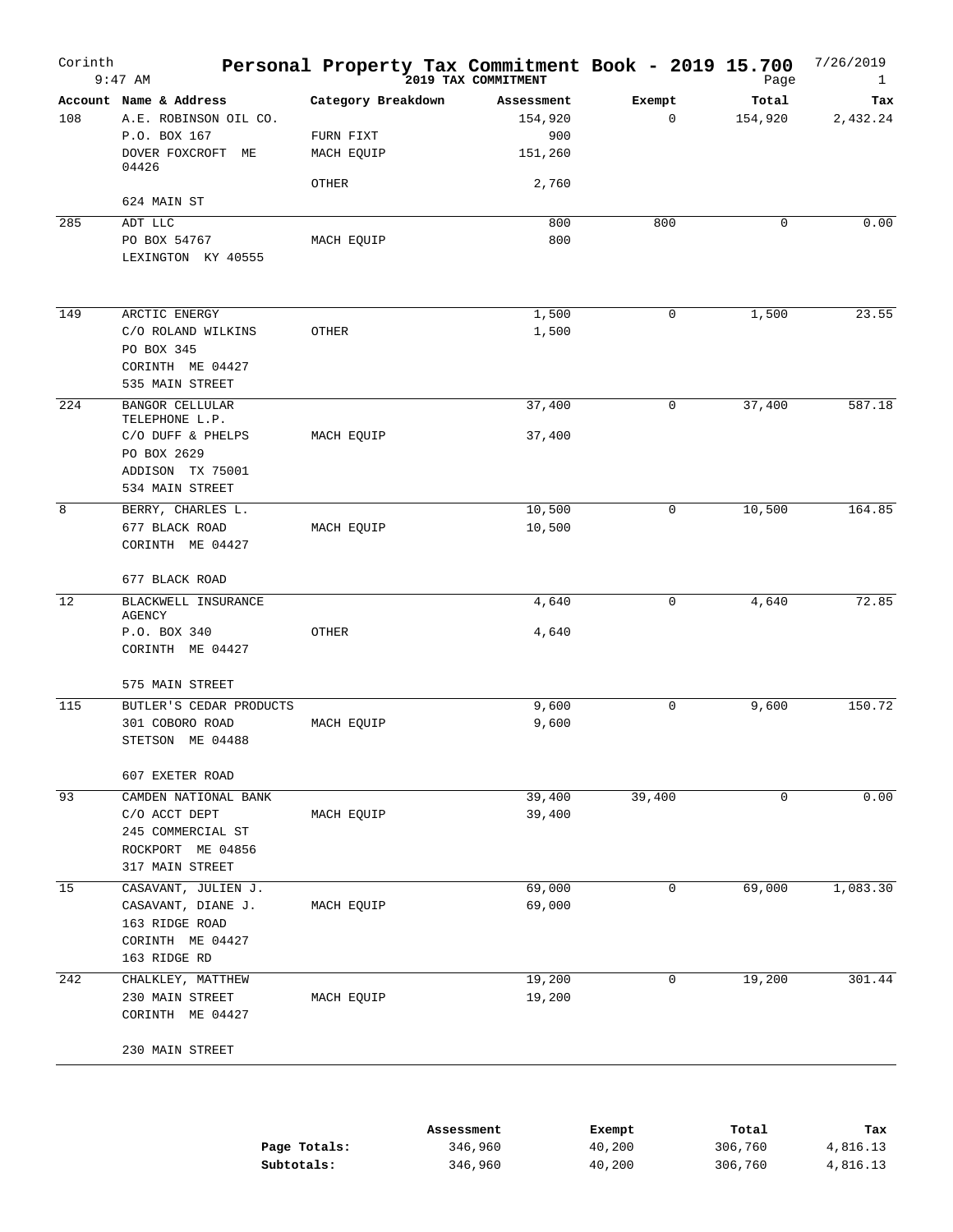| Corinth | $9:47$ AM                                                                                                           | Personal Property Tax Commitment Book - 2019 15.700    | 2019 TAX COMMITMENT                              |                       | Page             | 7/26/2019<br>$\mathbf{1}$ |
|---------|---------------------------------------------------------------------------------------------------------------------|--------------------------------------------------------|--------------------------------------------------|-----------------------|------------------|---------------------------|
| 108     | Account Name & Address<br>A.E. ROBINSON OIL CO.<br>P.O. BOX 167<br>DOVER FOXCROFT<br>ME<br>04426                    | Category Breakdown<br>FURN FIXT<br>MACH EQUIP<br>OTHER | Assessment<br>154,920<br>900<br>151,260<br>2,760 | Exempt<br>$\mathbf 0$ | Total<br>154,920 | Tax<br>2,432.24           |
| 285     | 624 MAIN ST<br>ADT LLC                                                                                              |                                                        | 800                                              | 800                   | 0                | 0.00                      |
|         | PO BOX 54767<br>LEXINGTON KY 40555                                                                                  | MACH EQUIP                                             | 800                                              |                       |                  |                           |
| 149     | ARCTIC ENERGY<br>C/O ROLAND WILKINS<br>PO BOX 345<br>CORINTH ME 04427<br>535 MAIN STREET                            | OTHER                                                  | 1,500<br>1,500                                   | 0                     | 1,500            | 23.55                     |
| 224     | <b>BANGOR CELLULAR</b><br>TELEPHONE L.P.<br>C/O DUFF & PHELPS<br>PO BOX 2629<br>ADDISON TX 75001<br>534 MAIN STREET | MACH EQUIP                                             | 37,400<br>37,400                                 | 0                     | 37,400           | 587.18                    |
| 8       | BERRY, CHARLES L.<br>677 BLACK ROAD<br>CORINTH ME 04427                                                             | MACH EQUIP                                             | 10,500<br>10,500                                 | 0                     | 10,500           | 164.85                    |
|         | 677 BLACK ROAD                                                                                                      |                                                        |                                                  |                       |                  |                           |
| 12      | BLACKWELL INSURANCE<br>AGENCY<br>P.O. BOX 340<br>CORINTH ME 04427<br>575 MAIN STREET                                | OTHER                                                  | 4,640<br>4,640                                   | 0                     | 4,640            | 72.85                     |
| 115     | BUTLER'S CEDAR PRODUCTS                                                                                             |                                                        | 9,600                                            | 0                     | 9,600            | 150.72                    |
|         | 301 COBORO ROAD<br>STETSON ME 04488                                                                                 | MACH EQUIP                                             | 9,600                                            |                       |                  |                           |
| 93      | 607 EXETER ROAD<br>CAMDEN NATIONAL BANK                                                                             |                                                        | 39,400                                           | 39,400                | 0                | 0.00                      |
|         | C/O ACCT DEPT<br>245 COMMERCIAL ST<br>ROCKPORT ME 04856<br>317 MAIN STREET                                          | MACH EQUIP                                             | 39,400                                           |                       |                  |                           |
| 15      | CASAVANT, JULIEN J.<br>CASAVANT, DIANE J.<br>163 RIDGE ROAD<br>CORINTH ME 04427<br>163 RIDGE RD                     | MACH EQUIP                                             | 69,000<br>69,000                                 | 0                     | 69,000           | 1,083.30                  |
| 242     | CHALKLEY, MATTHEW<br>230 MAIN STREET<br>CORINTH ME 04427<br>230 MAIN STREET                                         | MACH EQUIP                                             | 19,200<br>19,200                                 | 0                     | 19,200           | 301.44                    |
|         |                                                                                                                     |                                                        |                                                  |                       |                  |                           |

|              | Assessment | Exempt | Total   | Tax      |
|--------------|------------|--------|---------|----------|
| Page Totals: | 346,960    | 40,200 | 306,760 | 4,816.13 |
| Subtotals:   | 346,960    | 40,200 | 306,760 | 4,816.13 |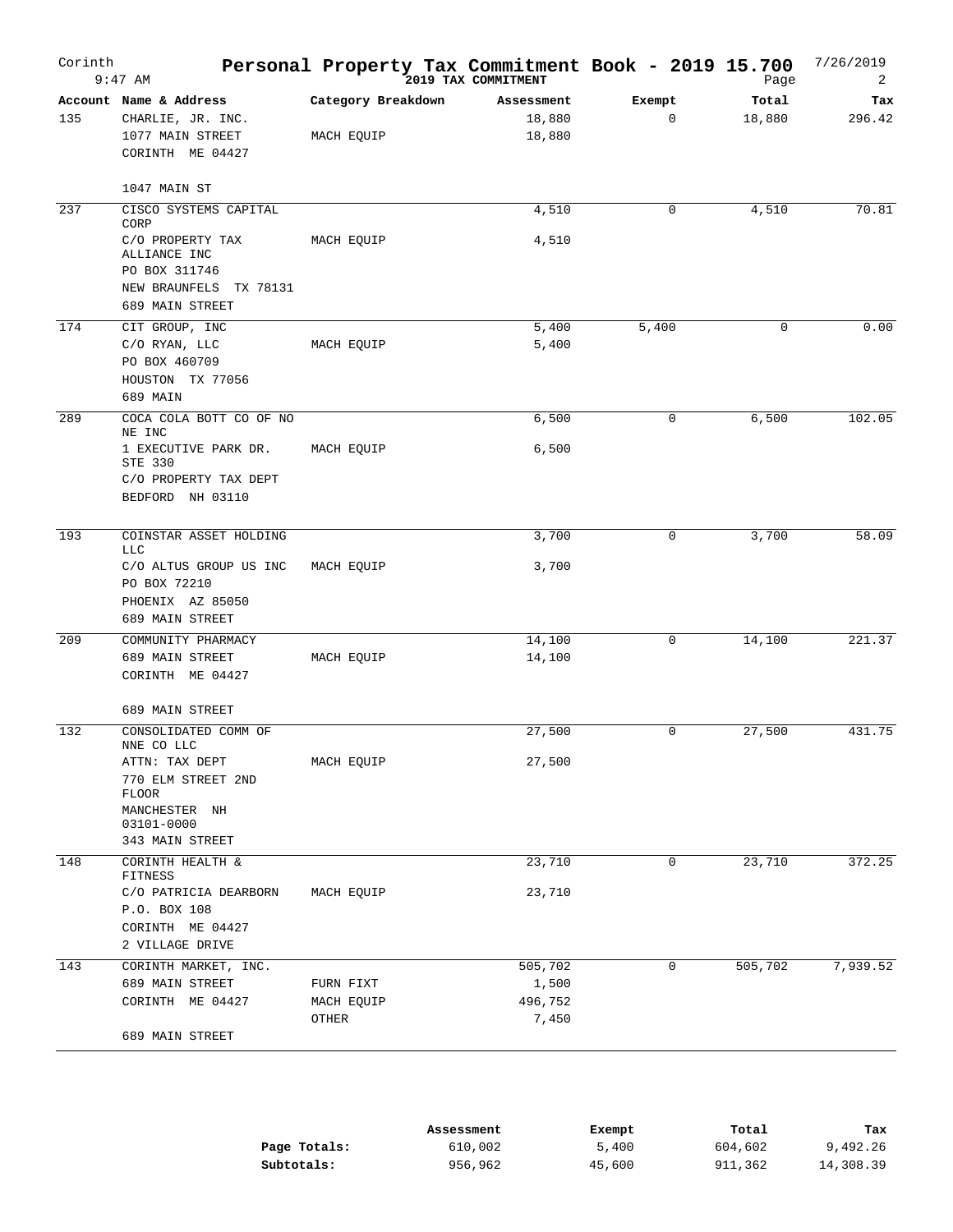| Corinth<br>$9:47$ AM          |                                                                                                                              |                                  | Personal Property Tax Commitment Book - 2019 15.700<br>2019 TAX COMMITMENT |                       | Page            | 7/26/2019<br>2 |
|-------------------------------|------------------------------------------------------------------------------------------------------------------------------|----------------------------------|----------------------------------------------------------------------------|-----------------------|-----------------|----------------|
| Account Name & Address<br>135 | CHARLIE, JR. INC.<br>1077 MAIN STREET<br>CORINTH ME 04427                                                                    | Category Breakdown<br>MACH EQUIP | Assessment<br>18,880<br>18,880                                             | Exempt<br>$\mathbf 0$ | Total<br>18,880 | Tax<br>296.42  |
| 237                           | 1047 MAIN ST<br>CISCO SYSTEMS CAPITAL                                                                                        |                                  | 4,510                                                                      | 0                     | 4,510           | 70.81          |
| CORP                          | C/O PROPERTY TAX<br>ALLIANCE INC<br>PO BOX 311746<br>NEW BRAUNFELS<br>TX 78131<br>689 MAIN STREET                            | MACH EQUIP                       | 4,510                                                                      |                       |                 |                |
| 174<br>689 MAIN               | CIT GROUP, INC<br>C/O RYAN, LLC<br>PO BOX 460709<br>HOUSTON TX 77056                                                         | MACH EQUIP                       | 5,400<br>5,400                                                             | 5,400                 | $\Omega$        | 0.00           |
| 289<br>NE INC<br>STE 330      | COCA COLA BOTT CO OF NO<br>1 EXECUTIVE PARK DR.<br>C/O PROPERTY TAX DEPT<br>BEDFORD NH 03110                                 | MACH EQUIP                       | 6,500<br>6,500                                                             | 0                     | 6,500           | 102.05         |
| 193<br>LLC                    | COINSTAR ASSET HOLDING<br>C/O ALTUS GROUP US INC<br>PO BOX 72210<br>PHOENIX AZ 85050<br>689 MAIN STREET                      | MACH EQUIP                       | 3,700<br>3,700                                                             | 0                     | 3,700           | 58.09          |
| 209                           | COMMUNITY PHARMACY<br>689 MAIN STREET<br>CORINTH ME 04427                                                                    | MACH EQUIP                       | 14,100<br>14,100                                                           | 0                     | 14,100          | 221.37         |
|                               | 689 MAIN STREET                                                                                                              |                                  |                                                                            |                       |                 |                |
| 132<br><b>FLOOR</b>           | CONSOLIDATED COMM OF<br>NNE CO LLC<br>ATTN: TAX DEPT<br>770 ELM STREET 2ND<br>MANCHESTER NH<br>03101-0000<br>343 MAIN STREET | MACH EQUIP                       | 27,500<br>27,500                                                           | 0                     | 27,500          | 431.75         |
| 148                           | CORINTH HEALTH &                                                                                                             |                                  | 23,710                                                                     | 0                     | 23,710          | 372.25         |
| FITNESS                       | C/O PATRICIA DEARBORN<br>P.O. BOX 108<br>CORINTH ME 04427<br>2 VILLAGE DRIVE                                                 | MACH EQUIP                       | 23,710                                                                     |                       |                 |                |
| 143                           | CORINTH MARKET, INC.<br>689 MAIN STREET<br>CORINTH ME 04427<br>689 MAIN STREET                                               | FURN FIXT<br>MACH EQUIP<br>OTHER | 505,702<br>1,500<br>496,752<br>7,450                                       | 0                     | 505,702         | 7,939.52       |

|              | Assessment | Exempt | Total   | Tax       |
|--------------|------------|--------|---------|-----------|
| Page Totals: | 610,002    | 5,400  | 604,602 | 9,492.26  |
| Subtotals:   | 956,962    | 45,600 | 911,362 | 14,308.39 |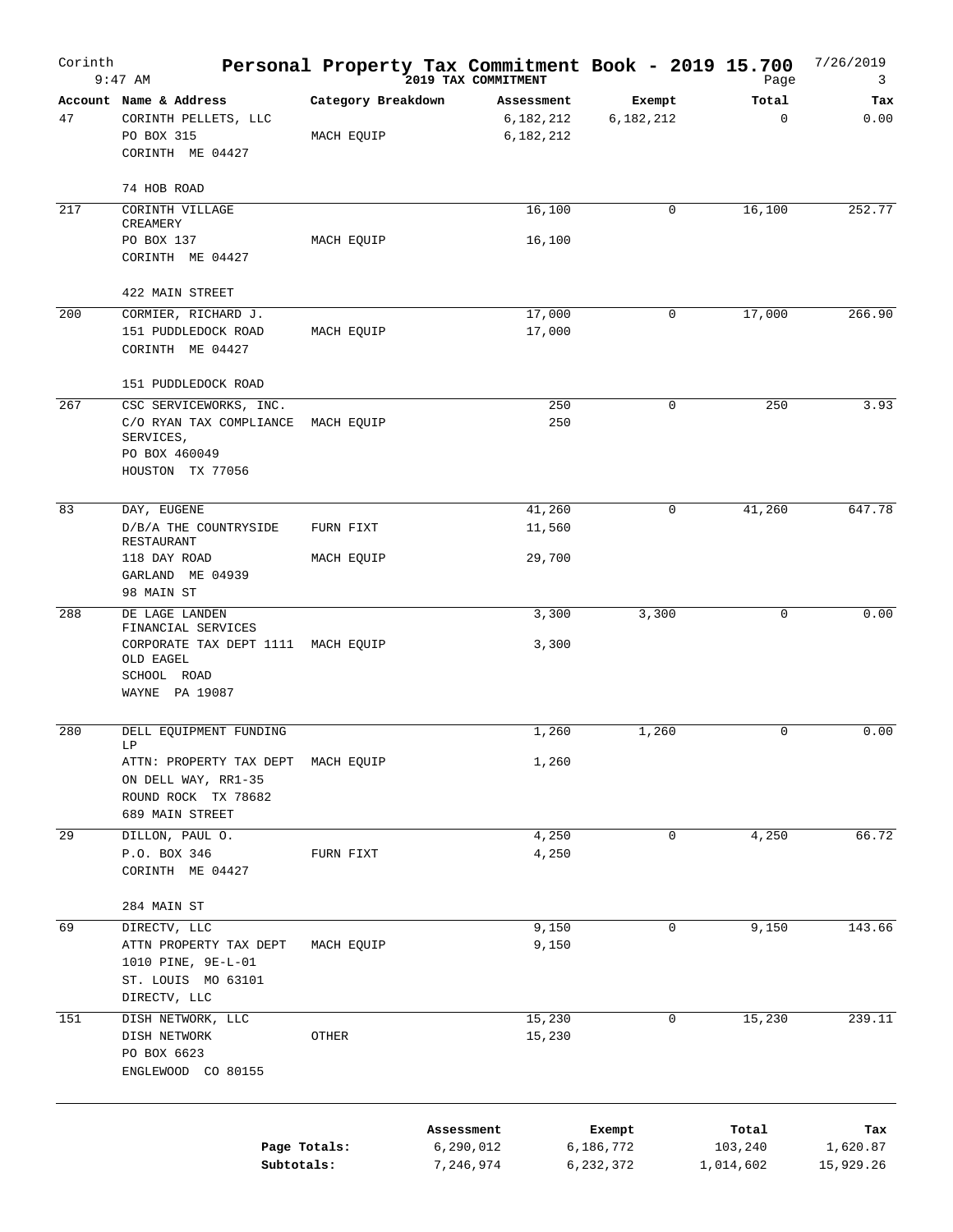| Corinth | $9:47$ AM                                                                                                      | Personal Property Tax Commitment Book - 2019 15.700 | 2019 TAX COMMITMENT                  |                                      |                                  |             | Page                          | 7/26/2019<br>3               |
|---------|----------------------------------------------------------------------------------------------------------------|-----------------------------------------------------|--------------------------------------|--------------------------------------|----------------------------------|-------------|-------------------------------|------------------------------|
| 47      | Account Name & Address<br>CORINTH PELLETS, LLC<br>PO BOX 315<br>CORINTH ME 04427                               | Category Breakdown<br>MACH EQUIP                    |                                      | Assessment<br>6,182,212<br>6,182,212 | Exempt<br>6,182,212              |             | Total<br>$\mathbf 0$          | Tax<br>0.00                  |
|         | 74 HOB ROAD                                                                                                    |                                                     |                                      |                                      |                                  |             |                               |                              |
| 217     | CORINTH VILLAGE<br>CREAMERY<br>PO BOX 137<br>CORINTH ME 04427                                                  | MACH EQUIP                                          |                                      | 16,100<br>16,100                     |                                  | 0           | 16,100                        | 252.77                       |
|         |                                                                                                                |                                                     |                                      |                                      |                                  |             |                               |                              |
|         | 422 MAIN STREET                                                                                                |                                                     |                                      |                                      |                                  |             |                               |                              |
| 200     | CORMIER, RICHARD J.<br>151 PUDDLEDOCK ROAD<br>CORINTH ME 04427                                                 | MACH EQUIP                                          |                                      | 17,000<br>17,000                     |                                  | 0           | 17,000                        | 266.90                       |
|         | 151 PUDDLEDOCK ROAD                                                                                            |                                                     |                                      |                                      |                                  |             |                               |                              |
| 267     | CSC SERVICEWORKS, INC.<br>C/O RYAN TAX COMPLIANCE MACH EQUIP<br>SERVICES,<br>PO BOX 460049<br>HOUSTON TX 77056 |                                                     |                                      | 250<br>250                           |                                  | $\mathbf 0$ | 250                           | 3.93                         |
| 83      | DAY, EUGENE                                                                                                    |                                                     |                                      | 41,260                               |                                  | 0           | 41,260                        | 647.78                       |
|         | D/B/A THE COUNTRYSIDE<br>RESTAURANT                                                                            | FURN FIXT                                           |                                      | 11,560                               |                                  |             |                               |                              |
|         | 118 DAY ROAD<br>GARLAND ME 04939<br>98 MAIN ST                                                                 | MACH EQUIP                                          |                                      | 29,700                               |                                  |             |                               |                              |
| 288     | DE LAGE LANDEN                                                                                                 |                                                     |                                      | 3,300                                | 3,300                            |             | 0                             | 0.00                         |
|         | FINANCIAL SERVICES<br>CORPORATE TAX DEPT 1111 MACH EQUIP<br>OLD EAGEL                                          |                                                     |                                      | 3,300                                |                                  |             |                               |                              |
|         | SCHOOL ROAD<br>WAYNE PA 19087                                                                                  |                                                     |                                      |                                      |                                  |             |                               |                              |
| 280     | DELL EQUIPMENT FUNDING                                                                                         |                                                     |                                      | 1,260                                | 1,260                            |             | 0                             | 0.00                         |
|         | LP<br>ATTN: PROPERTY TAX DEPT<br>ON DELL WAY, RR1-35<br>ROUND ROCK TX 78682                                    | MACH EQUIP                                          |                                      | 1,260                                |                                  |             |                               |                              |
|         | 689 MAIN STREET                                                                                                |                                                     |                                      |                                      |                                  |             |                               |                              |
| 29      | DILLON, PAUL O.<br>P.O. BOX 346<br>CORINTH ME 04427                                                            | FURN FIXT                                           |                                      | 4,250<br>4,250                       |                                  | $\mathbf 0$ | 4,250                         | 66.72                        |
|         | 284 MAIN ST                                                                                                    |                                                     |                                      |                                      |                                  |             |                               |                              |
| 69      | DIRECTV, LLC<br>ATTN PROPERTY TAX DEPT<br>1010 PINE, 9E-L-01<br>ST. LOUIS MO 63101<br>DIRECTV, LLC             | MACH EQUIP                                          |                                      | 9,150<br>9,150                       |                                  | 0           | 9,150                         | 143.66                       |
| 151     | DISH NETWORK, LLC<br>DISH NETWORK<br>PO BOX 6623<br>ENGLEWOOD CO 80155                                         | OTHER                                               |                                      | 15,230<br>15,230                     |                                  | 0           | 15,230                        | 239.11                       |
|         | Page Totals:<br>Subtotals:                                                                                     |                                                     | Assessment<br>6,290,012<br>7,246,974 |                                      | Exempt<br>6,186,772<br>6,232,372 |             | Total<br>103,240<br>1,014,602 | Tax<br>1,620.87<br>15,929.26 |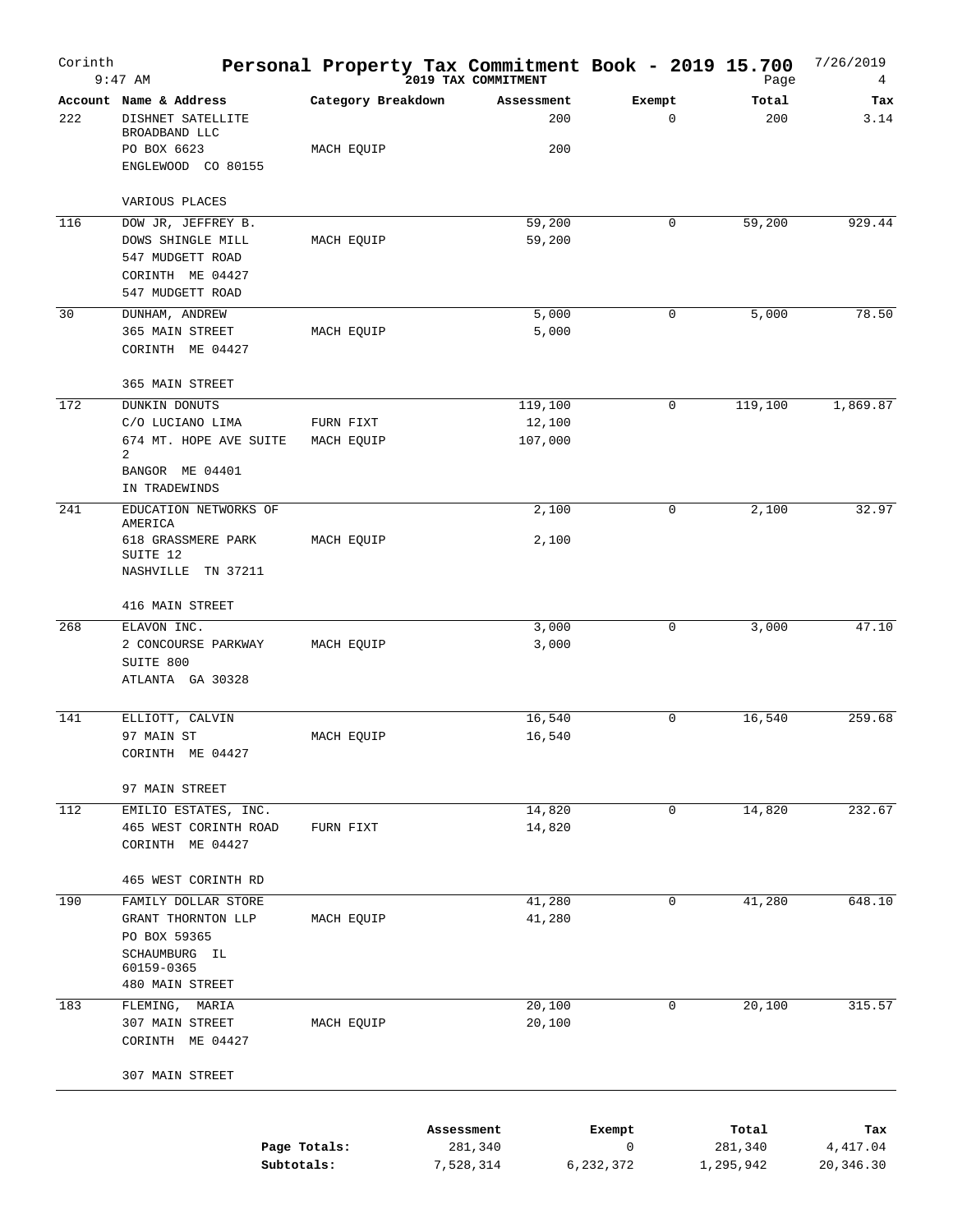| Corinth | $9:47$ AM                                                                                            |                         | Personal Property Tax Commitment Book - 2019 15.700<br>2019 TAX COMMITMENT |                       | Page             | 7/26/2019<br>$4^{\circ}$ |
|---------|------------------------------------------------------------------------------------------------------|-------------------------|----------------------------------------------------------------------------|-----------------------|------------------|--------------------------|
| 222     | Account Name & Address<br>DISHNET SATELLITE<br>BROADBAND LLC                                         | Category Breakdown      | Assessment<br>200                                                          | Exempt<br>$\mathbf 0$ | Total<br>200     | Tax<br>3.14              |
|         | PO BOX 6623<br>ENGLEWOOD CO 80155                                                                    | MACH EQUIP              | 200                                                                        |                       |                  |                          |
|         | VARIOUS PLACES                                                                                       |                         |                                                                            |                       |                  |                          |
| 116     | DOW JR, JEFFREY B.<br>DOWS SHINGLE MILL<br>547 MUDGETT ROAD<br>CORINTH ME 04427<br>547 MUDGETT ROAD  | MACH EQUIP              | 59,200<br>59,200                                                           | 0                     | 59,200           | 929.44                   |
| 30      | DUNHAM, ANDREW<br>365 MAIN STREET<br>CORINTH ME 04427                                                | MACH EQUIP              | 5,000<br>5,000                                                             | 0                     | 5,000            | 78.50                    |
|         | 365 MAIN STREET                                                                                      |                         |                                                                            |                       |                  |                          |
| 172     | DUNKIN DONUTS<br>C/O LUCIANO LIMA<br>674 MT. HOPE AVE SUITE<br>2<br>BANGOR ME 04401<br>IN TRADEWINDS | FURN FIXT<br>MACH EQUIP | 119,100<br>12,100<br>107,000                                               | 0                     | 119,100          | 1,869.87                 |
| 241     | EDUCATION NETWORKS OF<br>AMERICA<br>618 GRASSMERE PARK                                               | MACH EQUIP              | 2,100<br>2,100                                                             | 0                     | 2,100            | 32.97                    |
|         | SUITE 12<br>NASHVILLE TN 37211<br>416 MAIN STREET                                                    |                         |                                                                            |                       |                  |                          |
| 268     | ELAVON INC.<br>2 CONCOURSE PARKWAY<br>SUITE 800<br>ATLANTA GA 30328                                  | MACH EQUIP              | 3,000<br>3,000                                                             | 0                     | 3,000            | 47.10                    |
| 141     | ELLIOTT, CALVIN<br>97 MAIN ST<br>CORINTH ME 04427                                                    | MACH EQUIP              | 16,540<br>16,540                                                           | 0                     | 16,540           | 259.68                   |
|         | 97 MAIN STREET                                                                                       |                         |                                                                            |                       |                  |                          |
| 112     | EMILIO ESTATES, INC.<br>465 WEST CORINTH ROAD<br>CORINTH ME 04427                                    | FURN FIXT               | 14,820<br>14,820                                                           | 0                     | 14,820           | 232.67                   |
|         | 465 WEST CORINTH RD                                                                                  |                         |                                                                            |                       |                  |                          |
| 190     | FAMILY DOLLAR STORE<br>GRANT THORNTON LLP<br>PO BOX 59365<br>SCHAUMBURG IL<br>60159-0365             | MACH EQUIP              | 41,280<br>41,280                                                           | 0                     | 41,280           | 648.10                   |
| 183     | 480 MAIN STREET<br>FLEMING, MARIA<br>307 MAIN STREET<br>CORINTH ME 04427                             | MACH EQUIP              | 20,100<br>20,100                                                           | 0                     | 20,100           | 315.57                   |
|         | 307 MAIN STREET                                                                                      |                         |                                                                            |                       |                  |                          |
|         | Page Totals:                                                                                         |                         | Assessment<br>281,340                                                      | Exempt<br>0           | Total<br>281,340 | Tax<br>4,417.04          |

7,528,314

6,232,372

1,295,942

20,346.30

**Subtotals:**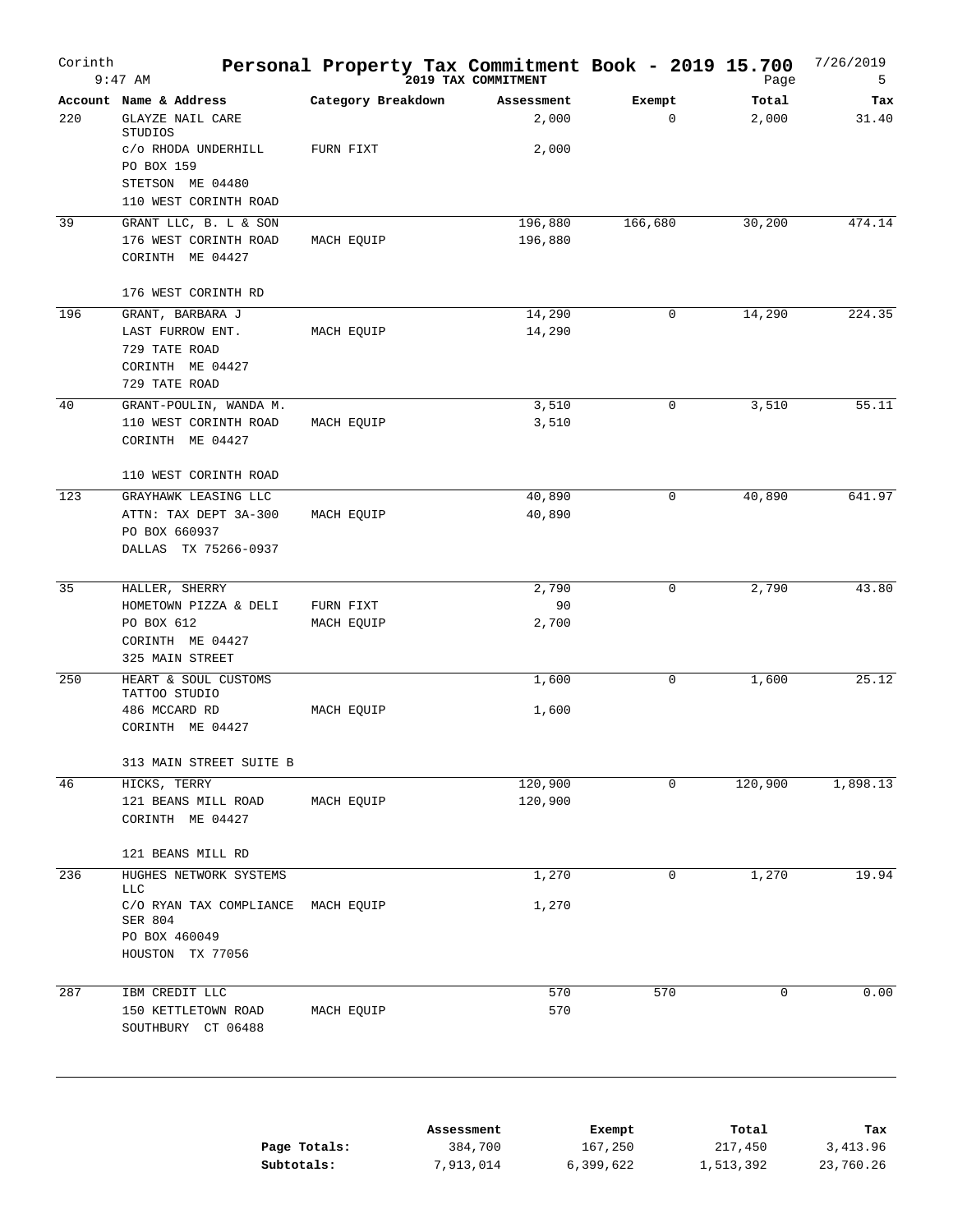| Corinth | $9:47$ AM                                                                                                       |                         | Personal Property Tax Commitment Book - 2019 15.700 |                                |             | Page                          | 7/26/2019<br>5               |
|---------|-----------------------------------------------------------------------------------------------------------------|-------------------------|-----------------------------------------------------|--------------------------------|-------------|-------------------------------|------------------------------|
| 220     | Account Name & Address<br><b>GLAYZE NAIL CARE</b><br>STUDIOS                                                    | Category Breakdown      | Assessment                                          | 2,000                          | Exempt<br>0 | Total<br>2,000                | Tax<br>31.40                 |
|         | c/o RHODA UNDERHILL<br>PO BOX 159<br>STETSON ME 04480<br>110 WEST CORINTH ROAD                                  | FURN FIXT               |                                                     | 2,000                          |             |                               |                              |
| 39      | GRANT LLC, B. L & SON<br>176 WEST CORINTH ROAD<br>CORINTH ME 04427                                              | MACH EQUIP              | 196,880<br>196,880                                  | 166,680                        |             | 30,200                        | 474.14                       |
|         | 176 WEST CORINTH RD                                                                                             |                         |                                                     |                                |             |                               |                              |
| 196     | GRANT, BARBARA J<br>LAST FURROW ENT.<br>729 TATE ROAD<br>CORINTH ME 04427<br>729 TATE ROAD                      | MACH EQUIP              | 14,290<br>14,290                                    |                                | 0           | 14,290                        | 224.35                       |
| 40      | GRANT-POULIN, WANDA M.<br>110 WEST CORINTH ROAD<br>CORINTH ME 04427                                             | MACH EQUIP              |                                                     | 3,510<br>3,510                 | 0           | 3,510                         | 55.11                        |
| 123     | 110 WEST CORINTH ROAD<br>GRAYHAWK LEASING LLC<br>ATTN: TAX DEPT 3A-300<br>PO BOX 660937<br>DALLAS TX 75266-0937 | MACH EQUIP              | 40,890<br>40,890                                    |                                | 0           | 40,890                        | 641.97                       |
|         |                                                                                                                 |                         |                                                     |                                |             |                               |                              |
| 35      | HALLER, SHERRY<br>HOMETOWN PIZZA & DELI<br>PO BOX 612<br>CORINTH ME 04427<br>325 MAIN STREET                    | FURN FIXT<br>MACH EQUIP |                                                     | 2,790<br>90<br>2,700           | 0           | 2,790                         | 43.80                        |
| 250     | HEART & SOUL CUSTOMS<br>TATTOO STUDIO<br>486 MCCARD RD                                                          | MACH EQUIP              |                                                     | 1,600<br>1,600                 | 0           | 1,600                         | 25.12                        |
|         | CORINTH ME 04427                                                                                                |                         |                                                     |                                |             |                               |                              |
| 46      | 313 MAIN STREET SUITE B                                                                                         |                         | 120,900                                             |                                | 0           | 120,900                       |                              |
|         | HICKS, TERRY<br>121 BEANS MILL ROAD<br>CORINTH ME 04427                                                         | MACH EQUIP              | 120,900                                             |                                |             |                               | 1,898.13                     |
|         | 121 BEANS MILL RD                                                                                               |                         |                                                     |                                |             |                               |                              |
| 236     | HUGHES NETWORK SYSTEMS<br>LLC<br>C/O RYAN TAX COMPLIANCE                                                        | MACH EQUIP              |                                                     | 1,270<br>1,270                 | 0           | 1,270                         | 19.94                        |
|         | SER 804<br>PO BOX 460049<br>HOUSTON TX 77056                                                                    |                         |                                                     |                                |             |                               |                              |
| 287     | IBM CREDIT LLC<br>150 KETTLETOWN ROAD<br>SOUTHBURY CT 06488                                                     | MACH EQUIP              |                                                     | 570<br>570                     | 570         | 0                             | 0.00                         |
|         | Page Totals:<br>Subtotals:                                                                                      |                         | Assessment<br>384,700<br>7,913,014                  | Exempt<br>167,250<br>6,399,622 |             | Total<br>217,450<br>1,513,392 | Tax<br>3,413.96<br>23,760.26 |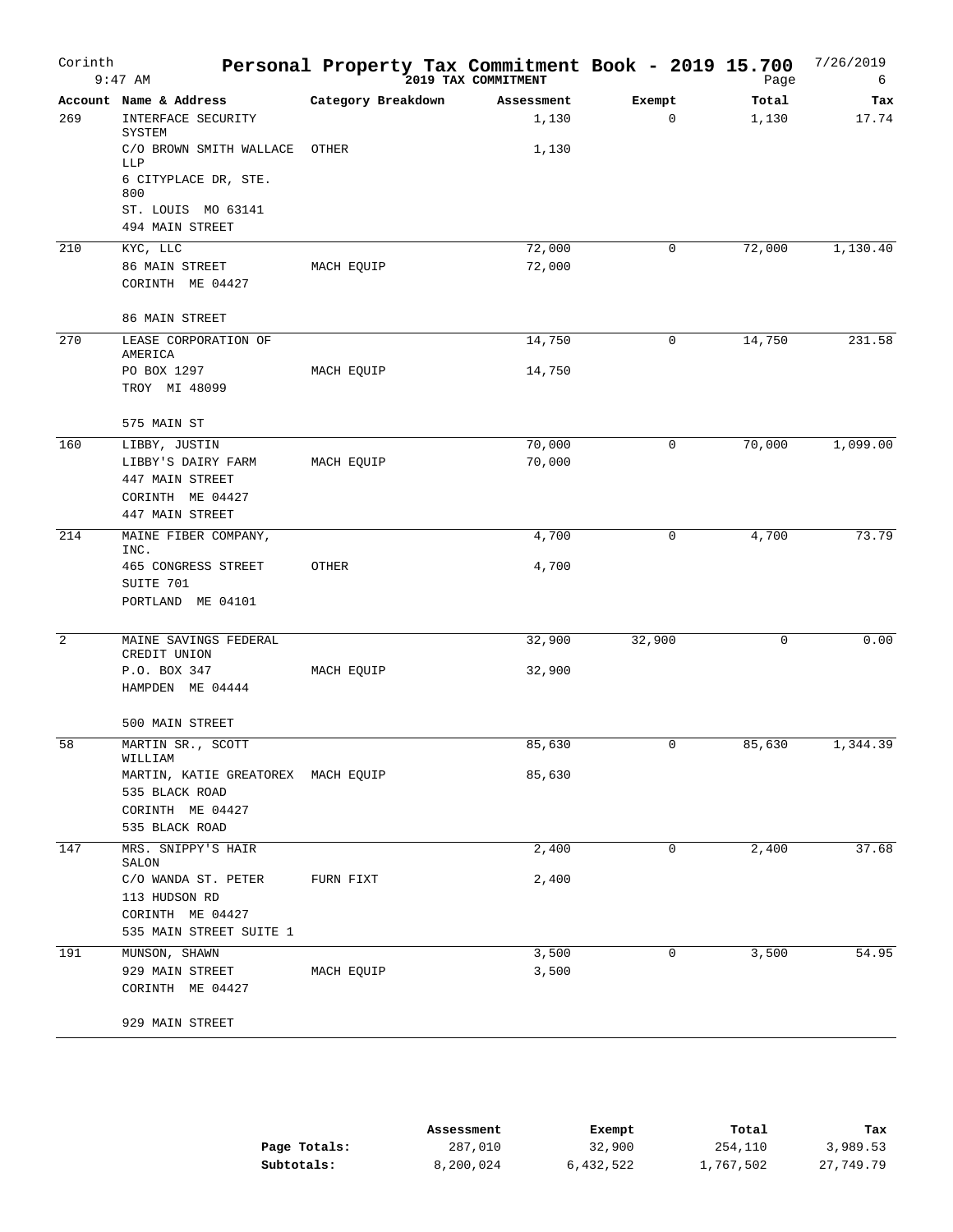| Account Name & Address<br>Category Breakdown<br>Exempt<br>Total<br>Tax<br>Assessment<br>269<br>$\mathsf{O}$<br>1,130<br>17.74<br>INTERFACE SECURITY<br>1,130<br>SYSTEM<br>C/O BROWN SMITH WALLACE<br>OTHER<br>1,130<br>LLP<br>6 CITYPLACE DR, STE.<br>800<br>ST. LOUIS MO 63141<br>494 MAIN STREET<br>210<br>72,000<br>1,130.40<br>KYC, LLC<br>72,000<br>0<br>72,000<br>86 MAIN STREET<br>MACH EQUIP<br>CORINTH ME 04427<br>86 MAIN STREET<br>270<br>231.58<br>LEASE CORPORATION OF<br>14,750<br>0<br>14,750<br>AMERICA<br>14,750<br>PO BOX 1297<br>MACH EQUIP<br>TROY MI 48099<br>575 MAIN ST<br>160<br>70,000<br>0<br>70,000<br>1,099.00<br>LIBBY, JUSTIN<br>70,000<br>LIBBY'S DAIRY FARM<br>MACH EQUIP<br>447 MAIN STREET<br>CORINTH ME 04427<br>447 MAIN STREET<br>214<br>MAINE FIBER COMPANY,<br>4,700<br>0<br>4,700<br>73.79<br>INC.<br>465 CONGRESS STREET<br>4,700<br>OTHER<br>SUITE 701<br>PORTLAND ME 04101<br>2<br>32,900<br>32,900<br>$\mathbf 0$<br>0.00<br>MAINE SAVINGS FEDERAL<br>CREDIT UNION<br>32,900<br>P.O. BOX 347<br>MACH EQUIP<br>HAMPDEN ME 04444<br>500 MAIN STREET<br>85,630<br>85,630<br>1,344.39<br>58<br>MARTIN SR., SCOTT<br>0<br>WILLIAM<br>85,630<br>MARTIN, KATIE GREATOREX MACH EQUIP<br>535 BLACK ROAD<br>CORINTH ME 04427<br>535 BLACK ROAD<br>147<br>MRS. SNIPPY'S HAIR<br>2,400<br>2,400<br>37.68<br>0<br>SALON<br>2,400<br>C/O WANDA ST. PETER<br>FURN FIXT<br>113 HUDSON RD<br>CORINTH ME 04427<br>535 MAIN STREET SUITE 1<br>191<br>3,500<br>3,500<br>54.95<br>MUNSON, SHAWN<br>0<br>929 MAIN STREET<br>3,500<br>MACH EQUIP<br>CORINTH ME 04427<br>929 MAIN STREET | Corinth | $9:47$ AM | Personal Property Tax Commitment Book - 2019 15.700 | 2019 TAX COMMITMENT | Page | 7/26/2019<br>6 |
|--------------------------------------------------------------------------------------------------------------------------------------------------------------------------------------------------------------------------------------------------------------------------------------------------------------------------------------------------------------------------------------------------------------------------------------------------------------------------------------------------------------------------------------------------------------------------------------------------------------------------------------------------------------------------------------------------------------------------------------------------------------------------------------------------------------------------------------------------------------------------------------------------------------------------------------------------------------------------------------------------------------------------------------------------------------------------------------------------------------------------------------------------------------------------------------------------------------------------------------------------------------------------------------------------------------------------------------------------------------------------------------------------------------------------------------------------------------------------------------------------------------------------------------------------------------------------------------------------------------|---------|-----------|-----------------------------------------------------|---------------------|------|----------------|
|                                                                                                                                                                                                                                                                                                                                                                                                                                                                                                                                                                                                                                                                                                                                                                                                                                                                                                                                                                                                                                                                                                                                                                                                                                                                                                                                                                                                                                                                                                                                                                                                              |         |           |                                                     |                     |      |                |
|                                                                                                                                                                                                                                                                                                                                                                                                                                                                                                                                                                                                                                                                                                                                                                                                                                                                                                                                                                                                                                                                                                                                                                                                                                                                                                                                                                                                                                                                                                                                                                                                              |         |           |                                                     |                     |      |                |
|                                                                                                                                                                                                                                                                                                                                                                                                                                                                                                                                                                                                                                                                                                                                                                                                                                                                                                                                                                                                                                                                                                                                                                                                                                                                                                                                                                                                                                                                                                                                                                                                              |         |           |                                                     |                     |      |                |
|                                                                                                                                                                                                                                                                                                                                                                                                                                                                                                                                                                                                                                                                                                                                                                                                                                                                                                                                                                                                                                                                                                                                                                                                                                                                                                                                                                                                                                                                                                                                                                                                              |         |           |                                                     |                     |      |                |
|                                                                                                                                                                                                                                                                                                                                                                                                                                                                                                                                                                                                                                                                                                                                                                                                                                                                                                                                                                                                                                                                                                                                                                                                                                                                                                                                                                                                                                                                                                                                                                                                              |         |           |                                                     |                     |      |                |
|                                                                                                                                                                                                                                                                                                                                                                                                                                                                                                                                                                                                                                                                                                                                                                                                                                                                                                                                                                                                                                                                                                                                                                                                                                                                                                                                                                                                                                                                                                                                                                                                              |         |           |                                                     |                     |      |                |
|                                                                                                                                                                                                                                                                                                                                                                                                                                                                                                                                                                                                                                                                                                                                                                                                                                                                                                                                                                                                                                                                                                                                                                                                                                                                                                                                                                                                                                                                                                                                                                                                              |         |           |                                                     |                     |      |                |
|                                                                                                                                                                                                                                                                                                                                                                                                                                                                                                                                                                                                                                                                                                                                                                                                                                                                                                                                                                                                                                                                                                                                                                                                                                                                                                                                                                                                                                                                                                                                                                                                              |         |           |                                                     |                     |      |                |
|                                                                                                                                                                                                                                                                                                                                                                                                                                                                                                                                                                                                                                                                                                                                                                                                                                                                                                                                                                                                                                                                                                                                                                                                                                                                                                                                                                                                                                                                                                                                                                                                              |         |           |                                                     |                     |      |                |
|                                                                                                                                                                                                                                                                                                                                                                                                                                                                                                                                                                                                                                                                                                                                                                                                                                                                                                                                                                                                                                                                                                                                                                                                                                                                                                                                                                                                                                                                                                                                                                                                              |         |           |                                                     |                     |      |                |
|                                                                                                                                                                                                                                                                                                                                                                                                                                                                                                                                                                                                                                                                                                                                                                                                                                                                                                                                                                                                                                                                                                                                                                                                                                                                                                                                                                                                                                                                                                                                                                                                              |         |           |                                                     |                     |      |                |
|                                                                                                                                                                                                                                                                                                                                                                                                                                                                                                                                                                                                                                                                                                                                                                                                                                                                                                                                                                                                                                                                                                                                                                                                                                                                                                                                                                                                                                                                                                                                                                                                              |         |           |                                                     |                     |      |                |
|                                                                                                                                                                                                                                                                                                                                                                                                                                                                                                                                                                                                                                                                                                                                                                                                                                                                                                                                                                                                                                                                                                                                                                                                                                                                                                                                                                                                                                                                                                                                                                                                              |         |           |                                                     |                     |      |                |
|                                                                                                                                                                                                                                                                                                                                                                                                                                                                                                                                                                                                                                                                                                                                                                                                                                                                                                                                                                                                                                                                                                                                                                                                                                                                                                                                                                                                                                                                                                                                                                                                              |         |           |                                                     |                     |      |                |
|                                                                                                                                                                                                                                                                                                                                                                                                                                                                                                                                                                                                                                                                                                                                                                                                                                                                                                                                                                                                                                                                                                                                                                                                                                                                                                                                                                                                                                                                                                                                                                                                              |         |           |                                                     |                     |      |                |
|                                                                                                                                                                                                                                                                                                                                                                                                                                                                                                                                                                                                                                                                                                                                                                                                                                                                                                                                                                                                                                                                                                                                                                                                                                                                                                                                                                                                                                                                                                                                                                                                              |         |           |                                                     |                     |      |                |
|                                                                                                                                                                                                                                                                                                                                                                                                                                                                                                                                                                                                                                                                                                                                                                                                                                                                                                                                                                                                                                                                                                                                                                                                                                                                                                                                                                                                                                                                                                                                                                                                              |         |           |                                                     |                     |      |                |
|                                                                                                                                                                                                                                                                                                                                                                                                                                                                                                                                                                                                                                                                                                                                                                                                                                                                                                                                                                                                                                                                                                                                                                                                                                                                                                                                                                                                                                                                                                                                                                                                              |         |           |                                                     |                     |      |                |
|                                                                                                                                                                                                                                                                                                                                                                                                                                                                                                                                                                                                                                                                                                                                                                                                                                                                                                                                                                                                                                                                                                                                                                                                                                                                                                                                                                                                                                                                                                                                                                                                              |         |           |                                                     |                     |      |                |
|                                                                                                                                                                                                                                                                                                                                                                                                                                                                                                                                                                                                                                                                                                                                                                                                                                                                                                                                                                                                                                                                                                                                                                                                                                                                                                                                                                                                                                                                                                                                                                                                              |         |           |                                                     |                     |      |                |
|                                                                                                                                                                                                                                                                                                                                                                                                                                                                                                                                                                                                                                                                                                                                                                                                                                                                                                                                                                                                                                                                                                                                                                                                                                                                                                                                                                                                                                                                                                                                                                                                              |         |           |                                                     |                     |      |                |
|                                                                                                                                                                                                                                                                                                                                                                                                                                                                                                                                                                                                                                                                                                                                                                                                                                                                                                                                                                                                                                                                                                                                                                                                                                                                                                                                                                                                                                                                                                                                                                                                              |         |           |                                                     |                     |      |                |
|                                                                                                                                                                                                                                                                                                                                                                                                                                                                                                                                                                                                                                                                                                                                                                                                                                                                                                                                                                                                                                                                                                                                                                                                                                                                                                                                                                                                                                                                                                                                                                                                              |         |           |                                                     |                     |      |                |
|                                                                                                                                                                                                                                                                                                                                                                                                                                                                                                                                                                                                                                                                                                                                                                                                                                                                                                                                                                                                                                                                                                                                                                                                                                                                                                                                                                                                                                                                                                                                                                                                              |         |           |                                                     |                     |      |                |
|                                                                                                                                                                                                                                                                                                                                                                                                                                                                                                                                                                                                                                                                                                                                                                                                                                                                                                                                                                                                                                                                                                                                                                                                                                                                                                                                                                                                                                                                                                                                                                                                              |         |           |                                                     |                     |      |                |
|                                                                                                                                                                                                                                                                                                                                                                                                                                                                                                                                                                                                                                                                                                                                                                                                                                                                                                                                                                                                                                                                                                                                                                                                                                                                                                                                                                                                                                                                                                                                                                                                              |         |           |                                                     |                     |      |                |
|                                                                                                                                                                                                                                                                                                                                                                                                                                                                                                                                                                                                                                                                                                                                                                                                                                                                                                                                                                                                                                                                                                                                                                                                                                                                                                                                                                                                                                                                                                                                                                                                              |         |           |                                                     |                     |      |                |
|                                                                                                                                                                                                                                                                                                                                                                                                                                                                                                                                                                                                                                                                                                                                                                                                                                                                                                                                                                                                                                                                                                                                                                                                                                                                                                                                                                                                                                                                                                                                                                                                              |         |           |                                                     |                     |      |                |
|                                                                                                                                                                                                                                                                                                                                                                                                                                                                                                                                                                                                                                                                                                                                                                                                                                                                                                                                                                                                                                                                                                                                                                                                                                                                                                                                                                                                                                                                                                                                                                                                              |         |           |                                                     |                     |      |                |
|                                                                                                                                                                                                                                                                                                                                                                                                                                                                                                                                                                                                                                                                                                                                                                                                                                                                                                                                                                                                                                                                                                                                                                                                                                                                                                                                                                                                                                                                                                                                                                                                              |         |           |                                                     |                     |      |                |
|                                                                                                                                                                                                                                                                                                                                                                                                                                                                                                                                                                                                                                                                                                                                                                                                                                                                                                                                                                                                                                                                                                                                                                                                                                                                                                                                                                                                                                                                                                                                                                                                              |         |           |                                                     |                     |      |                |
|                                                                                                                                                                                                                                                                                                                                                                                                                                                                                                                                                                                                                                                                                                                                                                                                                                                                                                                                                                                                                                                                                                                                                                                                                                                                                                                                                                                                                                                                                                                                                                                                              |         |           |                                                     |                     |      |                |
|                                                                                                                                                                                                                                                                                                                                                                                                                                                                                                                                                                                                                                                                                                                                                                                                                                                                                                                                                                                                                                                                                                                                                                                                                                                                                                                                                                                                                                                                                                                                                                                                              |         |           |                                                     |                     |      |                |
|                                                                                                                                                                                                                                                                                                                                                                                                                                                                                                                                                                                                                                                                                                                                                                                                                                                                                                                                                                                                                                                                                                                                                                                                                                                                                                                                                                                                                                                                                                                                                                                                              |         |           |                                                     |                     |      |                |
|                                                                                                                                                                                                                                                                                                                                                                                                                                                                                                                                                                                                                                                                                                                                                                                                                                                                                                                                                                                                                                                                                                                                                                                                                                                                                                                                                                                                                                                                                                                                                                                                              |         |           |                                                     |                     |      |                |
|                                                                                                                                                                                                                                                                                                                                                                                                                                                                                                                                                                                                                                                                                                                                                                                                                                                                                                                                                                                                                                                                                                                                                                                                                                                                                                                                                                                                                                                                                                                                                                                                              |         |           |                                                     |                     |      |                |
|                                                                                                                                                                                                                                                                                                                                                                                                                                                                                                                                                                                                                                                                                                                                                                                                                                                                                                                                                                                                                                                                                                                                                                                                                                                                                                                                                                                                                                                                                                                                                                                                              |         |           |                                                     |                     |      |                |

|              | Assessment | Exempt    | Total     | Tax       |
|--------------|------------|-----------|-----------|-----------|
| Page Totals: | 287,010    | 32,900    | 254,110   | 3,989.53  |
| Subtotals:   | 8,200,024  | 6,432,522 | 1,767,502 | 27,749.79 |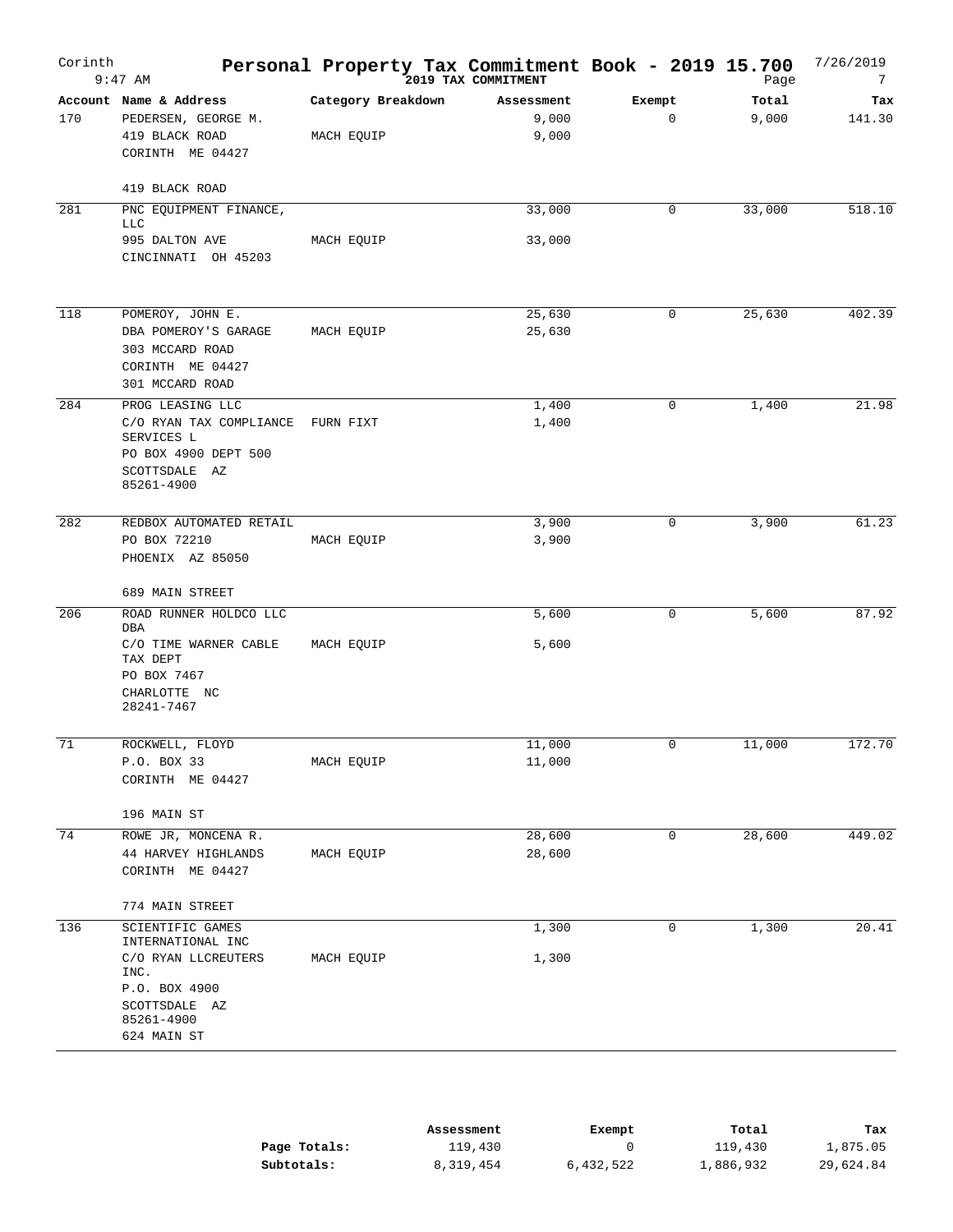| Corinth | $9:47$ AM                                                                                                                                              | Personal Property Tax Commitment Book - 2019 15.700 | 2019 TAX COMMITMENT          |                       | Page           | 7/26/2019<br>7 |
|---------|--------------------------------------------------------------------------------------------------------------------------------------------------------|-----------------------------------------------------|------------------------------|-----------------------|----------------|----------------|
| 170     | Account Name & Address<br>PEDERSEN, GEORGE M.<br>419 BLACK ROAD<br>CORINTH ME 04427                                                                    | Category Breakdown<br>MACH EQUIP                    | Assessment<br>9,000<br>9,000 | Exempt<br>$\mathbf 0$ | Total<br>9,000 | Tax<br>141.30  |
|         | 419 BLACK ROAD                                                                                                                                         |                                                     |                              |                       |                |                |
| 281     | PNC EQUIPMENT FINANCE,<br><b>LLC</b><br>995 DALTON AVE<br>CINCINNATI OH 45203                                                                          | MACH EQUIP                                          | 33,000<br>33,000             | 0                     | 33,000         | 518.10         |
| 118     | POMEROY, JOHN E.<br>DBA POMEROY'S GARAGE<br>303 MCCARD ROAD<br>CORINTH ME 04427<br>301 MCCARD ROAD                                                     | MACH EQUIP                                          | 25,630<br>25,630             | 0                     | 25,630         | 402.39         |
| 284     | PROG LEASING LLC<br>C/O RYAN TAX COMPLIANCE<br>SERVICES L<br>PO BOX 4900 DEPT 500<br>SCOTTSDALE AZ<br>85261-4900                                       | FURN FIXT                                           | 1,400<br>1,400               | 0                     | 1,400          | 21.98          |
| 282     | REDBOX AUTOMATED RETAIL<br>PO BOX 72210<br>PHOENIX AZ 85050<br>689 MAIN STREET                                                                         | MACH EQUIP                                          | 3,900<br>3,900               | 0                     | 3,900          | 61.23          |
| 206     | ROAD RUNNER HOLDCO LLC<br>DBA<br>C/O TIME WARNER CABLE<br>TAX DEPT<br>PO BOX 7467<br>CHARLOTTE NC<br>28241-7467                                        | MACH EQUIP                                          | 5,600<br>5,600               | 0                     | 5,600          | 87.92          |
| 71      | ROCKWELL, FLOYD<br>P.O. BOX 33<br>CORINTH ME 04427<br>196 MAIN ST                                                                                      | MACH EQUIP                                          | 11,000<br>11,000             | 0                     | 11,000         | 172.70         |
| 74      | ROWE JR, MONCENA R.<br>44 HARVEY HIGHLANDS<br>CORINTH ME 04427                                                                                         | MACH EQUIP                                          | 28,600<br>28,600             | $\mathbf 0$           | 28,600         | 449.02         |
| 136     | 774 MAIN STREET<br>SCIENTIFIC GAMES<br>INTERNATIONAL INC<br>C/O RYAN LLCREUTERS<br>INC.<br>P.O. BOX 4900<br>SCOTTSDALE AZ<br>85261-4900<br>624 MAIN ST | MACH EQUIP                                          | 1,300<br>1,300               | 0                     | 1,300          | 20.41          |

|              | Assessment | Exempt    | Total     | Tax       |
|--------------|------------|-----------|-----------|-----------|
| Page Totals: | 119,430    |           | 119,430   | 1,875.05  |
| Subtotals:   | 8,319,454  | 6,432,522 | 1,886,932 | 29,624.84 |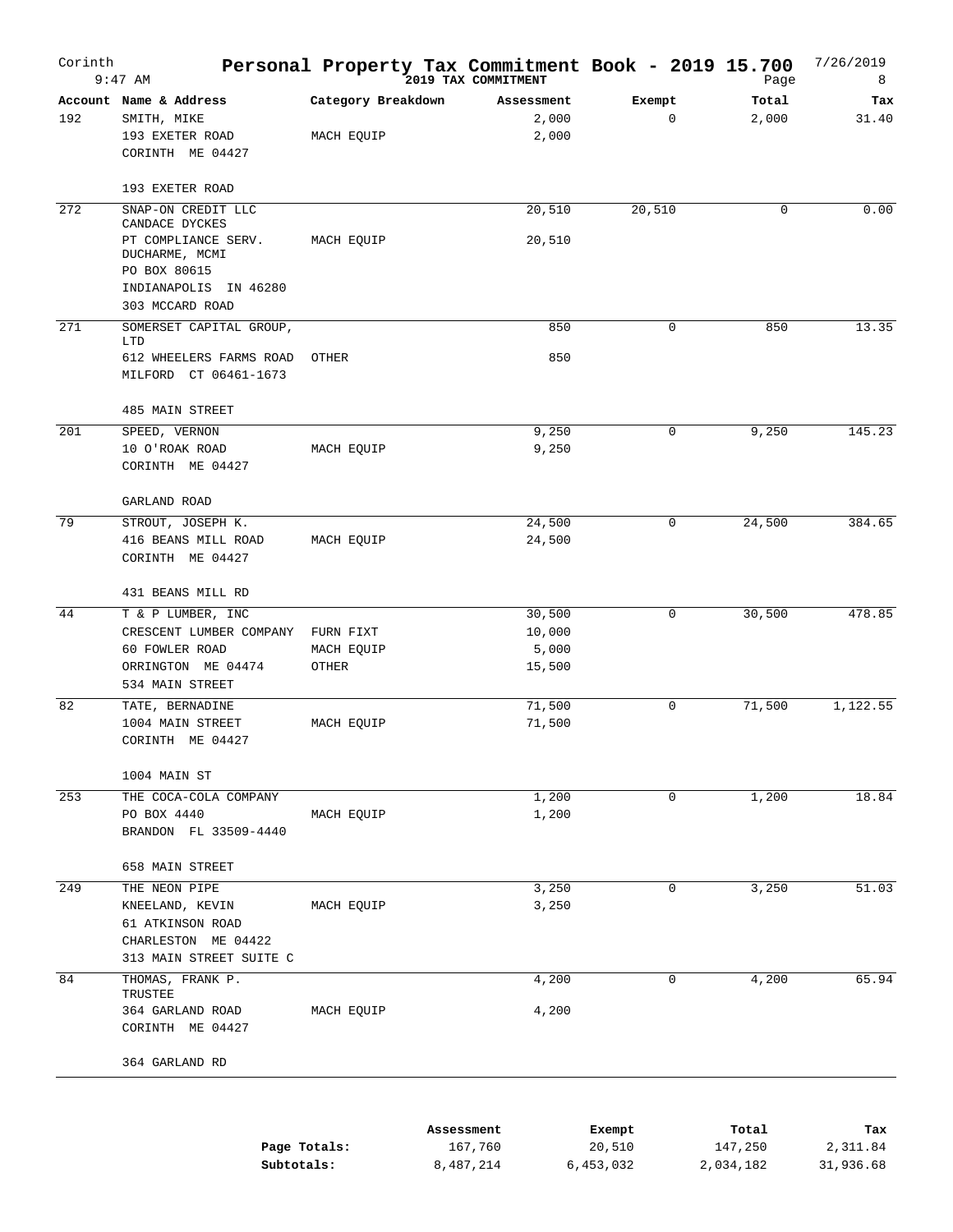| Corinth | $9:47$ AM                                                                                                           |                     | Personal Property Tax Commitment Book - 2019 15.700 |                  | Page             | 7/26/2019<br>8  |
|---------|---------------------------------------------------------------------------------------------------------------------|---------------------|-----------------------------------------------------|------------------|------------------|-----------------|
|         | Account Name & Address                                                                                              | Category Breakdown  | Assessment                                          | Exempt           | Total            | Tax             |
| 192     | SMITH, MIKE<br>193 EXETER ROAD<br>CORINTH ME 04427                                                                  | MACH EQUIP          | 2,000<br>2,000                                      | $\mathbf 0$      | 2,000            | 31.40           |
|         | 193 EXETER ROAD                                                                                                     |                     |                                                     |                  |                  |                 |
| 272     | SNAP-ON CREDIT LLC                                                                                                  |                     | 20,510                                              | 20,510           | $\mathbf{0}$     | 0.00            |
|         | CANDACE DYCKES<br>PT COMPLIANCE SERV.<br>DUCHARME, MCMI<br>PO BOX 80615<br>INDIANAPOLIS IN 46280<br>303 MCCARD ROAD | MACH EQUIP          | 20,510                                              |                  |                  |                 |
| 271     | SOMERSET CAPITAL GROUP,                                                                                             |                     | 850                                                 | 0                | 850              | 13.35           |
|         | LTD<br>612 WHEELERS FARMS ROAD<br>MILFORD CT 06461-1673                                                             | OTHER               | 850                                                 |                  |                  |                 |
|         | <b>485 MAIN STREET</b>                                                                                              |                     |                                                     |                  |                  |                 |
| 201     | SPEED, VERNON                                                                                                       |                     | 9,250                                               | 0                | 9,250            | 145.23          |
|         | 10 O'ROAK ROAD<br>CORINTH ME 04427                                                                                  | MACH EQUIP          | 9,250                                               |                  |                  |                 |
|         | GARLAND ROAD                                                                                                        |                     |                                                     |                  |                  |                 |
| 79      | STROUT, JOSEPH K.<br>416 BEANS MILL ROAD<br>CORINTH ME 04427                                                        | MACH EQUIP          | 24,500<br>24,500                                    | 0                | 24,500           | 384.65          |
|         | 431 BEANS MILL RD                                                                                                   |                     |                                                     |                  |                  |                 |
| 44      | T & P LUMBER, INC                                                                                                   |                     | 30,500                                              | 0                | 30,500           | 478.85          |
|         | CRESCENT LUMBER COMPANY                                                                                             | FURN FIXT           | 10,000                                              |                  |                  |                 |
|         | 60 FOWLER ROAD<br>ORRINGTON ME 04474                                                                                | MACH EQUIP<br>OTHER | 5,000<br>15,500                                     |                  |                  |                 |
|         | 534 MAIN STREET                                                                                                     |                     |                                                     |                  |                  |                 |
| 82      | TATE, BERNADINE                                                                                                     |                     | 71,500                                              | 0                | 71,500           | 1,122.55        |
|         | 1004 MAIN STREET<br>CORINTH ME 04427                                                                                | MACH EQUIP          | 71,500                                              |                  |                  |                 |
|         | 1004 MAIN ST                                                                                                        |                     |                                                     |                  |                  |                 |
| 253     | THE COCA-COLA COMPANY                                                                                               |                     | 1,200                                               | $\mathbf 0$      | 1,200            | 18.84           |
|         | PO BOX 4440<br>BRANDON FL 33509-4440                                                                                | MACH EQUIP          | 1,200                                               |                  |                  |                 |
|         | 658 MAIN STREET                                                                                                     |                     |                                                     |                  |                  |                 |
| 249     | THE NEON PIPE<br>KNEELAND, KEVIN<br>61 ATKINSON ROAD                                                                | MACH EQUIP          | 3,250<br>3,250                                      | 0                | 3,250            | 51.03           |
|         | CHARLESTON ME 04422<br>313 MAIN STREET SUITE C                                                                      |                     |                                                     |                  |                  |                 |
| 84      | THOMAS, FRANK P.                                                                                                    |                     | 4,200                                               | 0                | 4,200            | 65.94           |
|         | TRUSTEE<br>364 GARLAND ROAD<br>CORINTH ME 04427                                                                     | MACH EQUIP          | 4,200                                               |                  |                  |                 |
|         | 364 GARLAND RD                                                                                                      |                     |                                                     |                  |                  |                 |
|         |                                                                                                                     |                     |                                                     |                  |                  |                 |
|         | Page Totals:                                                                                                        |                     | Assessment<br>167,760                               | Exempt<br>20,510 | Total<br>147,250 | Tax<br>2,311.84 |

8,487,214

6,453,032

2,034,182

31,936.68

**Subtotals:**